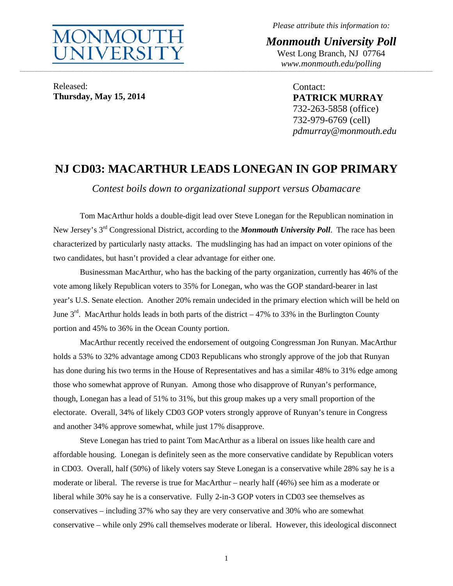

*Please attribute this information to:* 

*Monmouth University Poll*  West Long Branch, NJ 07764 *www.monmouth.edu/polling* **\_\_\_\_\_\_\_\_\_\_\_\_\_\_\_\_\_\_\_\_\_\_\_\_\_\_\_\_\_\_\_\_\_\_\_\_\_\_\_\_\_\_\_\_\_\_\_\_\_\_\_\_\_\_\_\_\_\_\_\_\_\_\_\_\_\_\_\_\_\_\_\_\_\_\_\_\_\_\_\_\_\_\_\_\_\_\_\_\_\_\_\_\_\_\_\_\_\_\_\_\_\_\_\_\_\_\_\_\_\_\_\_\_\_\_\_\_\_\_\_\_\_\_\_\_\_\_\_\_\_\_\_\_\_\_\_\_\_\_\_\_\_\_\_\_\_\_\_\_\_\_\_\_\_\_\_\_\_\_\_\_\_\_\_\_\_\_\_\_\_\_\_\_\_\_\_\_\_\_\_\_\_\_\_\_\_\_\_\_\_\_\_\_\_\_\_\_\_\_\_\_\_\_\_\_\_\_\_\_\_\_\_\_\_\_\_\_\_\_\_\_\_\_\_\_\_\_\_\_\_\_\_\_\_\_\_\_\_\_\_\_\_\_\_\_\_\_\_\_\_\_\_\_\_\_\_\_\_\_\_\_\_\_\_\_\_\_\_\_\_\_\_\_\_\_\_\_\_\_** 

Released: **Thursday, May 15, 2014**  Contact: **PATRICK MURRAY**  732-263-5858 (office) 732-979-6769 (cell) *pdmurray@monmouth.edu* 

# **NJ CD03: MACARTHUR LEADS LONEGAN IN GOP PRIMARY**

*Contest boils down to organizational support versus Obamacare* 

 Tom MacArthur holds a double-digit lead over Steve Lonegan for the Republican nomination in New Jersey's 3rd Congressional District, according to the *Monmouth University Poll*. The race has been characterized by particularly nasty attacks. The mudslinging has had an impact on voter opinions of the two candidates, but hasn't provided a clear advantage for either one.

 Businessman MacArthur, who has the backing of the party organization, currently has 46% of the vote among likely Republican voters to 35% for Lonegan, who was the GOP standard-bearer in last year's U.S. Senate election. Another 20% remain undecided in the primary election which will be held on June  $3<sup>rd</sup>$ . MacArthur holds leads in both parts of the district – 47% to 33% in the Burlington County portion and 45% to 36% in the Ocean County portion.

 MacArthur recently received the endorsement of outgoing Congressman Jon Runyan. MacArthur holds a 53% to 32% advantage among CD03 Republicans who strongly approve of the job that Runyan has done during his two terms in the House of Representatives and has a similar 48% to 31% edge among those who somewhat approve of Runyan. Among those who disapprove of Runyan's performance, though, Lonegan has a lead of 51% to 31%, but this group makes up a very small proportion of the electorate. Overall, 34% of likely CD03 GOP voters strongly approve of Runyan's tenure in Congress and another 34% approve somewhat, while just 17% disapprove.

 Steve Lonegan has tried to paint Tom MacArthur as a liberal on issues like health care and affordable housing. Lonegan is definitely seen as the more conservative candidate by Republican voters in CD03. Overall, half (50%) of likely voters say Steve Lonegan is a conservative while 28% say he is a moderate or liberal. The reverse is true for MacArthur – nearly half (46%) see him as a moderate or liberal while 30% say he is a conservative. Fully 2-in-3 GOP voters in CD03 see themselves as conservatives – including 37% who say they are very conservative and 30% who are somewhat conservative – while only 29% call themselves moderate or liberal. However, this ideological disconnect

1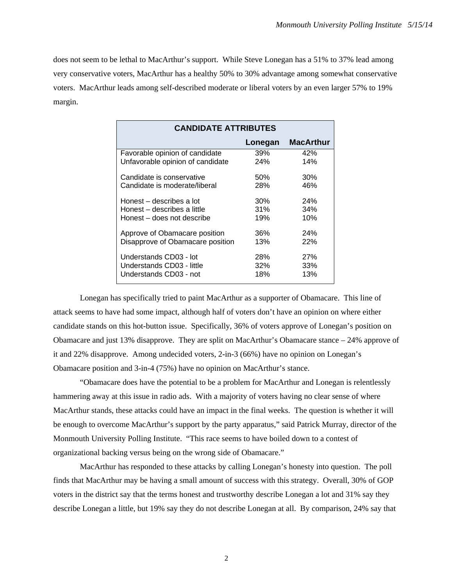does not seem to be lethal to MacArthur's support. While Steve Lonegan has a 51% to 37% lead among very conservative voters, MacArthur has a healthy 50% to 30% advantage among somewhat conservative voters. MacArthur leads among self-described moderate or liberal voters by an even larger 57% to 19% margin.

| <b>CANDIDATE ATTRIBUTES</b>      |         |                  |
|----------------------------------|---------|------------------|
|                                  | Lonegan | <b>MacArthur</b> |
| Favorable opinion of candidate   | 39%     | 42%              |
| Unfavorable opinion of candidate | 24%     | 14%              |
| Candidate is conservative        | 50%     | 30%              |
| Candidate is moderate/liberal    | 28%     | 46%              |
| Honest – describes a lot         | 30%     | <b>24%</b>       |
| Honest – describes a little      | 31%     | 34%              |
| Honest – does not describe       | 19%     | 10%              |
| Approve of Obamacare position    | 36%     | 24%              |
| Disapprove of Obamacare position | 13%     | 22%              |
| Understands CD03 - lot           | 28%     | <b>27%</b>       |
| Understands CD03 - little        | 32%     | 33%              |
| Understands CD03 - not           | 18%     | 13%              |

 Lonegan has specifically tried to paint MacArthur as a supporter of Obamacare. This line of attack seems to have had some impact, although half of voters don't have an opinion on where either candidate stands on this hot-button issue. Specifically, 36% of voters approve of Lonegan's position on Obamacare and just 13% disapprove. They are split on MacArthur's Obamacare stance – 24% approve of it and 22% disapprove. Among undecided voters, 2-in-3 (66%) have no opinion on Lonegan's Obamacare position and 3-in-4 (75%) have no opinion on MacArthur's stance.

 "Obamacare does have the potential to be a problem for MacArthur and Lonegan is relentlessly hammering away at this issue in radio ads. With a majority of voters having no clear sense of where MacArthur stands, these attacks could have an impact in the final weeks. The question is whether it will be enough to overcome MacArthur's support by the party apparatus," said Patrick Murray, director of the Monmouth University Polling Institute. "This race seems to have boiled down to a contest of organizational backing versus being on the wrong side of Obamacare."

 MacArthur has responded to these attacks by calling Lonegan's honesty into question. The poll finds that MacArthur may be having a small amount of success with this strategy. Overall, 30% of GOP voters in the district say that the terms honest and trustworthy describe Lonegan a lot and 31% say they describe Lonegan a little, but 19% say they do not describe Lonegan at all. By comparison, 24% say that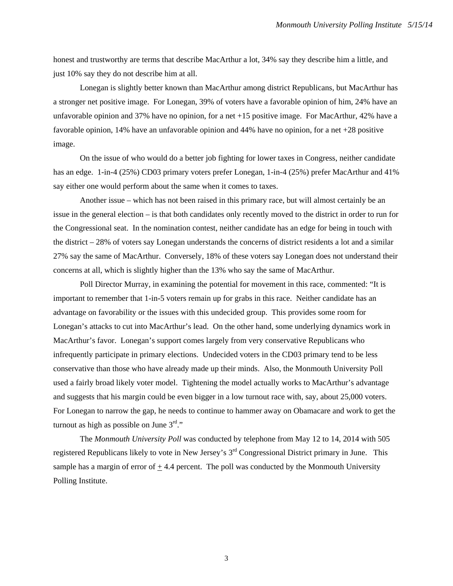honest and trustworthy are terms that describe MacArthur a lot, 34% say they describe him a little, and just 10% say they do not describe him at all.

 Lonegan is slightly better known than MacArthur among district Republicans, but MacArthur has a stronger net positive image. For Lonegan, 39% of voters have a favorable opinion of him, 24% have an unfavorable opinion and 37% have no opinion, for a net +15 positive image. For MacArthur, 42% have a favorable opinion, 14% have an unfavorable opinion and 44% have no opinion, for a net +28 positive image.

 On the issue of who would do a better job fighting for lower taxes in Congress, neither candidate has an edge. 1-in-4 (25%) CD03 primary voters prefer Lonegan, 1-in-4 (25%) prefer MacArthur and 41% say either one would perform about the same when it comes to taxes.

 Another issue – which has not been raised in this primary race, but will almost certainly be an issue in the general election – is that both candidates only recently moved to the district in order to run for the Congressional seat. In the nomination contest, neither candidate has an edge for being in touch with the district  $-28\%$  of voters say Lonegan understands the concerns of district residents a lot and a similar 27% say the same of MacArthur. Conversely, 18% of these voters say Lonegan does not understand their concerns at all, which is slightly higher than the 13% who say the same of MacArthur.

 Poll Director Murray, in examining the potential for movement in this race, commented: "It is important to remember that 1-in-5 voters remain up for grabs in this race. Neither candidate has an advantage on favorability or the issues with this undecided group. This provides some room for Lonegan's attacks to cut into MacArthur's lead. On the other hand, some underlying dynamics work in MacArthur's favor. Lonegan's support comes largely from very conservative Republicans who infrequently participate in primary elections. Undecided voters in the CD03 primary tend to be less conservative than those who have already made up their minds. Also, the Monmouth University Poll used a fairly broad likely voter model. Tightening the model actually works to MacArthur's advantage and suggests that his margin could be even bigger in a low turnout race with, say, about 25,000 voters. For Lonegan to narrow the gap, he needs to continue to hammer away on Obamacare and work to get the turnout as high as possible on June  $3<sup>rd</sup>$ ."

The *Monmouth University Poll* was conducted by telephone from May 12 to 14, 2014 with 505 registered Republicans likely to vote in New Jersey's  $3<sup>rd</sup>$  Congressional District primary in June. This sample has a margin of error of  $\pm$  4.4 percent. The poll was conducted by the Monmouth University Polling Institute.

3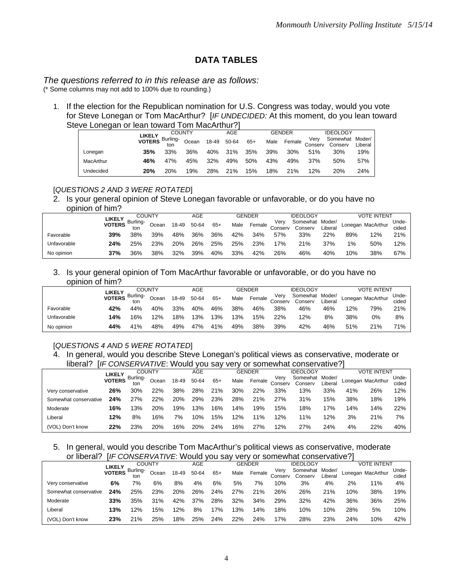# **DATA TABLES**

#### *The questions referred to in this release are as follows:*  (\* Some columns may not add to 100% due to rounding.)

1. If the election for the Republican nomination for U.S. Congress was today, would you vote for Steve Lonegan or Tom MacArthur? [*IF UNDECIDED:* At this moment, do you lean toward Steve Lonegan or lean toward Tom MacArthur?

|           |                                                                              |     | <b>COUNTY</b> |             | AGE |     |     | <b>GENDER</b> |                             | <b>IDEOLOGY</b>            |         |
|-----------|------------------------------------------------------------------------------|-----|---------------|-------------|-----|-----|-----|---------------|-----------------------------|----------------------------|---------|
|           | <b>LIKELY</b> Burling-<br><b>VOTERS</b> $\frac{1000 \text{ N T}}{100}$ Ocean |     |               | 18-49 50-64 |     | 65+ |     |               | Very<br>Male Female Conserv | Somewhat Moder/<br>Conserv | Liberal |
| Lonegan   | 35%                                                                          | 33% | 36%           | 40%         | 31% | 35% | 39% | 30%           | 51%                         | 30%                        | 19%     |
| MacArthur | 46%                                                                          | 47% | 45%           | 32%         | 49% | 50% | 43% | 49%           | 37%                         | 50%                        | 57%     |
| Undecided | 20%                                                                          | 20% | 19%           | 28%         | 21% | 15% | 18% | 21%           | 12%                         | 20%                        | 24%     |

## [*QUESTIONS 2 AND 3 WERE ROTATED*]

2. Is your general opinion of Steve Lonegan favorable or unfavorable, or do you have no opinion of him?

|             |     |                                        | <b>COUNTY</b> |       | AGE   |      |        | <b>GENDER</b>   |                            | <b>IDEOLOGY</b> |     |                   | <b>VOTE INTENT</b> |     |
|-------------|-----|----------------------------------------|---------------|-------|-------|------|--------|-----------------|----------------------------|-----------------|-----|-------------------|--------------------|-----|
|             |     | LIKELY Burling-<br>Ocean<br>39%<br>38% | 18-49         | 50-64 | $65+$ | Male | Female | Very<br>Conserv | Somewhat Moder/<br>Conserv | Liberal         |     | Lonegan MacArthur | Unde-<br>cided     |     |
| Favorable   | 39% |                                        |               | 48%   | 36%   | 36%  | 42%    | 34%             | 57%                        | 33%             | 22% | 89%               | 12%                | 21% |
| Unfavorable | 24% | 25%                                    | 23%           | 20%   | 26%   | 25%  | 25%    | 23%             | 17%                        | 21%             | 37% | 1%                | 50%                | 12% |
| No opinion  | 37% | 36%                                    | 38%           | 32%   | 39%   | 40%  | 33%    | 42%             | 26%                        | 46%             | 40% | 10%               | 38%                | 67% |

3. Is your general opinion of Tom MacArthur favorable or unfavorable, or do you have no opinion of him?

|             |                         |          | <b>COUNTY</b> |       | AGE   |       |      | GENDER |                 | <b>IDEOLOGY</b>                    |     |     | <b>VOTE INTENT</b> |                |
|-------------|-------------------------|----------|---------------|-------|-------|-------|------|--------|-----------------|------------------------------------|-----|-----|--------------------|----------------|
|             | LIKELY<br><b>VOTERS</b> | Burling- | Ocean         | 18-49 | 50-64 | $65+$ | Male | Female | Very<br>Conserv | Somewhat Moder/<br>Conserv Liberal |     |     | Lonegan MacArthur  | Unde-<br>cided |
| Favorable   | 42%                     | 44%      | 40%           | 33%   | 40%   | 46%   | 38%  | 46%    | 38%             | 46%                                | 46% | 12% | 79%                | 21%            |
| Unfavorable | 14%                     | 16%      | 2%            | 18%   | 13%   | 13%   | 13%  | 15%    | 22%             | 12%                                | 8%  | 38% | 0%                 | 8%             |
| No opinion  | 44%                     | 41%      | 48%           | 49%   | 47%   | 41%   | 49%  | 38%    | 39%             | 42%                                | 46% | 51% | 21%                | 71%            |

# [*QUESTIONS 4 AND 5 WERE ROTATED*]

4. In general, would you describe Steve Lonegan's political views as conservative, moderate or liberal? [*IF CONSERVATIVE*: Would you say very or somewhat conservative?]

|                       | LIKELY        |                 | <b>COUNTY</b> |       | <b>AGE</b> |       |      | <b>GENDER</b> |                 | <b>IDEOLOGY</b>     |                   |     | <b>VOTE INTENT</b> |                |
|-----------------------|---------------|-----------------|---------------|-------|------------|-------|------|---------------|-----------------|---------------------|-------------------|-----|--------------------|----------------|
|                       | <b>VOTERS</b> | Burling-<br>ton | Ocean         | 18-49 | 50-64      | $65+$ | Male | Female        | Verv<br>Conserv | Somewhat<br>Conserv | Moder/<br>Liberal |     | Lonegan MacArthur  | Unde-<br>cided |
| Very conservative     | 26%           | 30%             | 22%           | 38%   | 28%        | 21%   | 30%  | 22%           | 33%             | 13%                 | 33%               | 41% | 26%                | 12%            |
| Somewhat conservative | 24%           | 27%             | 22%           | 20%   | 29%        | 23%   | 28%  | 21%           | 27%             | 31%                 | 15%               | 38% | 18%                | 19%            |
| Moderate              | 16%           | '3%             | 20%           | '9%   | 3%         | 16%   | 4%   | 19%           | 15%             | 18%                 | 17%               | 14% | 14%                | 22%            |
| Liberal               | 12%           | 8%              | 16%           | 7%    | 10%        | 15%   | 12%  | 11%           | 12%             | 11%                 | 12%               | 3%  | 21%                | 7%             |
| (VOL) Don't know      | 22%           | 23%             | 20%           | 16%   | 20%        | 24%   | 16%  | 27%           | 12%             | 27%                 | 24%               | 4%  | 22%                | 40%            |

5. In general, would you describe Tom MacArthur's political views as conservative, moderate or liberal? [*IF CONSERVATIVE*: Would you say very or somewhat conservative?]

|                       | LIKELY        |          | <b>COUNTY</b> |       | AGE   |       |      | <b>GENDER</b> |                 | <b>IDEOLOGY</b>     |                   |     | <b>VOTE INTENT</b> |                |
|-----------------------|---------------|----------|---------------|-------|-------|-------|------|---------------|-----------------|---------------------|-------------------|-----|--------------------|----------------|
|                       | <b>VOTERS</b> | Burling- | Ocean         | 18-49 | 50-64 | $65+$ | Male | Female        | Verv<br>Conserv | Somewhat<br>Conserv | Moder/<br>Liberal |     | Lonegan MacArthur  | Unde-<br>cided |
| Very conservative     | 6%            | 7%       | 6%            | 8%    | 4%    | 6%    | 5%   | 7%            | 10%             | 3%                  | 4%                | 2%  | 11%                | 4%             |
| Somewhat conservative | 24%           | 25%      | 23%           | 20%   | 26%   | 24%   | 27%  | 21%           | 26%             | 26%                 | 21%               | 10% | 38%                | 19%            |
| Moderate              | 33%           | 35%      | 31%           | 42%   | 37%   | 28%   | 32%  | 34%           | 29%             | 32%                 | 42%               | 36% | 36%                | 25%            |
| Liberal               | 13%           | 12%      | 15%           | 12%   | 8%    | 7%    | 3%   | 14%           | 18%             | 10%                 | 10%               | 28% | 5%                 | 10%            |
| (VOL) Don't know      | 23%           | 21%      | 25%           | 18%   | 25%   | 24%   | 22%  | 24%           | 17%             | 28%                 | 23%               | 24% | 10%                | 42%            |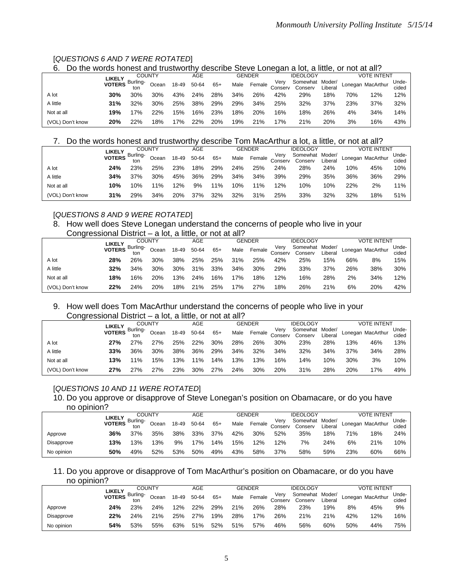### [*QUESTIONS 6 AND 7 WERE ROTATED*]

#### 6. Do the words honest and trustworthy describe Steve Lonegan a lot, a little, or not at all?

|                  |                                    | <b>COUNTY</b> |        |       | AGE   |       |      | <b>GENDER</b> |                 | <b>IDEOLOGY</b>            |         |     | VOTE INTENT       |                |
|------------------|------------------------------------|---------------|--------|-------|-------|-------|------|---------------|-----------------|----------------------------|---------|-----|-------------------|----------------|
|                  | <b>LIKELY</b><br>VOTERS Burling- ~ |               | Ocean  | 18-49 | 50-64 | $65+$ | Male | Female        | Very<br>Conserv | Somewhat Moder/<br>Conserv | Liberal |     | Lonegan MacArthur | Unde-<br>cided |
| A lot            | 30%                                | 30%           | 30%    | 43%   | 24%   | 28%   | 34%  | 26%           | 42%             | 29%                        | 18%     | 70% | 12%               | 12%            |
| A little         | 31%                                | 32%           | 30%    | 25%   | 38%   | 29%   | 29%  | 34%           | 25%             | 32%                        | 37%     | 23% | 37%               | 32%            |
| Not at all       | 19%                                | 7%            | $22\%$ | 15%   | 16%   | 23%   | 18%  | 20%           | 16%             | 18%                        | 26%     | 4%  | 34%               | 14%            |
| (VOL) Don't know | 20%                                | 22%           | '8%    | 7%    | 22%   | 20%   | 19%  | 21%           | 7%              | 21%                        | 20%     | 3%  | 16%               | 43%            |

#### 7. Do the words honest and trustworthy describe Tom MacArthur a lot, a little, or not at all?

|       |                  |                         | <b>COUNTY</b> |       |       | AGE   |       |      | <b>GENDER</b> |                 | <b>IDEOLOGY</b>     |                    |     | <b>VOTE INTENT</b> |                |
|-------|------------------|-------------------------|---------------|-------|-------|-------|-------|------|---------------|-----------------|---------------------|--------------------|-----|--------------------|----------------|
|       |                  | LIKELY<br><b>VOTERS</b> | Burling-      | Ocean | 18-49 | 50-64 | $65+$ | Male | Female        | Verv<br>Conserv | Somewhat<br>Conserv | Moder/<br>'.iberai |     | Lonegan MacArthur  | Unde-<br>cided |
| A lot |                  | 24%                     | 23%           | 25%   | 23%   | 18%   | 29%   | 24%  | 25%           | 24%             | 28%                 | 24%                | 10% | 45%                | 10%            |
|       | A little         | 34%                     | 37%           | 30%   | 45%   | 36%   | 29%   | 34%  | 34%           | 39%             | 29%                 | 35%                | 36% | 36%                | 29%            |
|       | Not at all       | 10%                     | 10%           | $1\%$ | 12%   | 9%    | $1\%$ | 10%  | 11%           | 12%             | 10%                 | 10%                | 22% | 2%                 | 11%            |
|       | (VOL) Don't know | 31%                     | 29%           | 34%   | 20%   | 37%   | 32%   | 32%  | 31%           | 25%             | 33%                 | 32%                | 32% | 18%                | 51%            |

#### [*QUESTIONS 8 AND 9 WERE ROTATED*]

#### 8. How well does Steve Lonegan understand the concerns of people who live in your Congressional District – a lot, a little, or not at all?

|            | <u>UUNG COOMIC DISTINTE ANG A INTERNATION AT ALL</u> |               |       |       |       |       |      |               |                 |                            |         |     |                    |                |
|------------|------------------------------------------------------|---------------|-------|-------|-------|-------|------|---------------|-----------------|----------------------------|---------|-----|--------------------|----------------|
|            | LIKELY                                               | <b>COUNTY</b> |       |       | AGE   |       |      | <b>GENDER</b> |                 | <b>IDEOLOGY</b>            |         |     | <b>VOTE INTENT</b> |                |
|            | VOTERS Burling-                                      |               | Ocean | 18-49 | 50-64 | $65+$ | Male | Female        | Verv<br>Conserv | Somewhat Moder/<br>Conserv | Liberal |     | Lonegan MacArthur  | Unde-<br>cided |
| A lot      | 28%                                                  | 26%           | 30%   | 38%   | 25%   | 25%   | 31%  | 25%           | 42%             | 25%                        | 15%     | 66% | 8%                 | 15%            |
| A little   | 32%                                                  | 34%           | 30%   | 30%   | 31%   | 33%   | 34%  | 30%           | 29%             | 33%                        | 37%     | 26% | 38%                | 30%            |
| Not at all | 18%                                                  | 16%           | 20%   | 3%    | 24%   | 16%   | 17%  | 18%           | 12%             | 16%                        | 28%     | 2%  | 34%                | 12%            |
|            | 22%<br>(VOL) Don't know                              | 24%           | 20%   | 18%   | 21%   | 25%   | '7%  | 27%           | 18%             | 26%                        | 21%     | 6%  | 20%                | 42%            |

#### 9. How well does Tom MacArthur understand the concerns of people who live in your Congressional District – a lot, a little, or not at all?

| . .              |                           | <b>COUNTY</b> |       |       | AGE   |       |      | GENDER |                 | <b>IDEOLOGY</b>     |                   |     | <b>VOTE INTENT</b> |                |
|------------------|---------------------------|---------------|-------|-------|-------|-------|------|--------|-----------------|---------------------|-------------------|-----|--------------------|----------------|
|                  | LIKELY<br>VOTERS Burling- |               | Ocean | 18-49 | 50-64 | $65+$ | Male | Female | Verv<br>Conserv | Somewhat<br>Conserv | Moder/<br>Liberal |     | Lonegan MacArthur  | Unde-<br>cided |
| A lot            | 27%                       | 27%           | 27%   | 25%   | 22%   | 30%   | 28%  | 26%    | 30%             | 23%                 | 28%               | 13% | 46%                | 13%            |
| A little         | 33%                       | 36%           | 30%   | 38%   | 36%   | 29%   | 34%  | 32%    | 34%             | 32%                 | 34%               | 37% | 34%                | 28%            |
| Not at all       | 13%                       | 11%           | '5%   | 3%    | 11%   | 14%   | 3%   | 13%    | 16%             | 14%                 | 10%               | 30% | 3%                 | 10%            |
| (VOL) Don't know | 27%                       | 27%           | 27%   | 23%   | 30%   | 27%   | 24%  | 30%    | 20%             | 31%                 | 28%               | 20% | 17%                | 49%            |

# [*QUESTIONS 10 AND 11 WERE ROTATED*]

#### 10. Do you approve or disapprove of Steve Lonegan's position on Obamacare, or do you have

| no opinion? |               |          |               |       |       |       |      |               |                 |                            |         |     |                    |                |
|-------------|---------------|----------|---------------|-------|-------|-------|------|---------------|-----------------|----------------------------|---------|-----|--------------------|----------------|
|             | <b>LIKELY</b> |          | <b>COUNTY</b> |       | AGE   |       |      | <b>GENDER</b> |                 | <b>IDEOLOGY</b>            |         |     | <b>VOTE INTENT</b> |                |
|             | <b>VOTERS</b> | Burling- | Ocean         | 18-49 | 50-64 | $65+$ | Male | Female        | Very<br>Conserv | Somewhat Moder/<br>Conserv | Liberal |     | Lonegan MacArthur  | Unde-<br>cided |
| Approve     | 36%           | 37%      | 35%           | 38%   | 33%   | 37%   | 42%  | $30\%$        | 52%             | 35%                        | 18%     | 71% | 18%                | 24%            |
| Disapprove  | 13%           | 3%       | 13%           | 9%    | 17%   | 14%   | 15%  | 12%           | 12%             | 7%                         | 24%     | 6%  | 21%                | 10%            |
| No opinion  | 50%           | 49%      | 52%           | 53%   | 50%   | 49%   | 43%  | 58%           | 37%             | 58%                        | 59%     | 23% | 60%                | 66%            |

#### 11. Do you approve or disapprove of Tom MacArthur's position on Obamacare, or do you have no opinion?

|                   |                         |          | <b>COUNTY</b> |       | AGE   |       |      | GENDER |         | <b>IDEOLOGY</b> |         |     | <b>VOTE INTENT</b> |       |
|-------------------|-------------------------|----------|---------------|-------|-------|-------|------|--------|---------|-----------------|---------|-----|--------------------|-------|
|                   | LIKELY<br><b>VOTERS</b> | Burling- | Ocean         | 18-49 | 50-64 | $65+$ | Male | Female | Verv    | Somewhat        | Moder/  |     | Lonegan MacArthur  | Unde- |
|                   |                         |          |               |       |       |       |      |        | Conserv | Conserv         | Liberal |     |                    | cided |
| Approve           | 24%                     | 23%      | 24%           | 12%   | 22%   | 29%   | 21%  | 26%    | 28%     | 23%             | 19%     | 8%  | 45%                | 9%    |
| <b>Disapprove</b> | 22%                     | 24%      | 21%           | 25%   | 27%   | 19%   | 28%  | 17%    | 26%     | 21%             | 21%     | 42% | 12%                | 16%   |
| No opinion        | 54%                     | 53%      | 55%           | 63%   | 51%   | 52%   | 51%  | 57%    | 46%     | 56%             | 60%     | 50% | 44%                | 75%   |